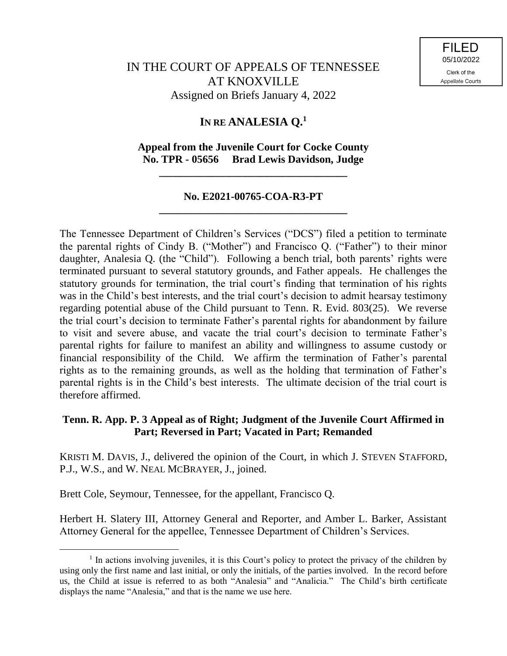# **IN RE ANALESIA Q.<sup>1</sup>**

## **Appeal from the Juvenile Court for Cocke County No. TPR - 05656 Brad Lewis Davidson, Judge**

**\_\_\_\_\_\_\_\_\_\_\_\_\_\_\_\_\_\_\_\_\_\_\_\_\_\_\_\_\_\_\_\_\_\_\_**

# **No. E2021-00765-COA-R3-PT \_\_\_\_\_\_\_\_\_\_\_\_\_\_\_\_\_\_\_\_\_\_\_\_\_\_\_\_\_\_\_\_\_\_\_**

The Tennessee Department of Children's Services ("DCS") filed a petition to terminate the parental rights of Cindy B. ("Mother") and Francisco Q. ("Father") to their minor daughter, Analesia Q. (the "Child"). Following a bench trial, both parents' rights were terminated pursuant to several statutory grounds, and Father appeals. He challenges the statutory grounds for termination, the trial court's finding that termination of his rights was in the Child's best interests, and the trial court's decision to admit hearsay testimony regarding potential abuse of the Child pursuant to Tenn. R. Evid. 803(25). We reverse the trial court's decision to terminate Father's parental rights for abandonment by failure to visit and severe abuse, and vacate the trial court's decision to terminate Father's parental rights for failure to manifest an ability and willingness to assume custody or financial responsibility of the Child. We affirm the termination of Father's parental rights as to the remaining grounds, as well as the holding that termination of Father's parental rights is in the Child's best interests. The ultimate decision of the trial court is therefore affirmed.

# **Tenn. R. App. P. 3 Appeal as of Right; Judgment of the Juvenile Court Affirmed in Part; Reversed in Part; Vacated in Part; Remanded**

KRISTI M. DAVIS, J., delivered the opinion of the Court, in which J. STEVEN STAFFORD, P.J., W.S., and W. NEAL MCBRAYER, J., joined.

Brett Cole, Seymour, Tennessee, for the appellant, Francisco Q.

 $\overline{a}$ 

Herbert H. Slatery III, Attorney General and Reporter, and Amber L. Barker, Assistant Attorney General for the appellee, Tennessee Department of Children's Services.

<sup>&</sup>lt;sup>1</sup> In actions involving juveniles, it is this Court's policy to protect the privacy of the children by using only the first name and last initial, or only the initials, of the parties involved. In the record before us, the Child at issue is referred to as both "Analesia" and "Analicia." The Child's birth certificate displays the name "Analesia," and that is the name we use here.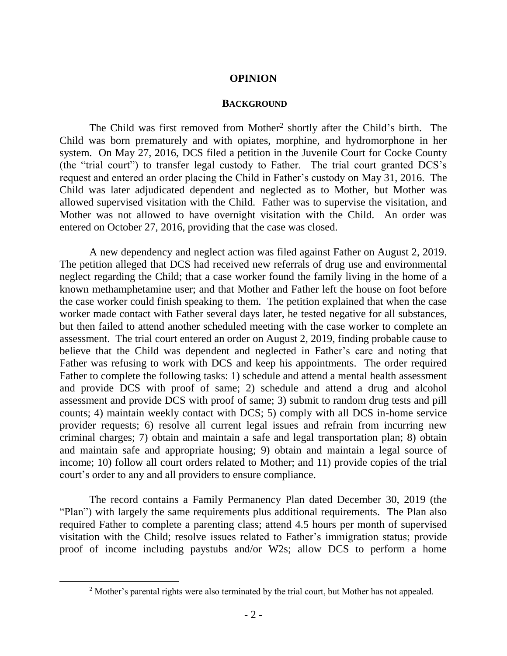### **OPINION**

#### **BACKGROUND**

The Child was first removed from Mother<sup>2</sup> shortly after the Child's birth. The Child was born prematurely and with opiates, morphine, and hydromorphone in her system. On May 27, 2016, DCS filed a petition in the Juvenile Court for Cocke County (the "trial court") to transfer legal custody to Father. The trial court granted DCS's request and entered an order placing the Child in Father's custody on May 31, 2016. The Child was later adjudicated dependent and neglected as to Mother, but Mother was allowed supervised visitation with the Child. Father was to supervise the visitation, and Mother was not allowed to have overnight visitation with the Child. An order was entered on October 27, 2016, providing that the case was closed.

A new dependency and neglect action was filed against Father on August 2, 2019. The petition alleged that DCS had received new referrals of drug use and environmental neglect regarding the Child; that a case worker found the family living in the home of a known methamphetamine user; and that Mother and Father left the house on foot before the case worker could finish speaking to them. The petition explained that when the case worker made contact with Father several days later, he tested negative for all substances, but then failed to attend another scheduled meeting with the case worker to complete an assessment. The trial court entered an order on August 2, 2019, finding probable cause to believe that the Child was dependent and neglected in Father's care and noting that Father was refusing to work with DCS and keep his appointments. The order required Father to complete the following tasks: 1) schedule and attend a mental health assessment and provide DCS with proof of same; 2) schedule and attend a drug and alcohol assessment and provide DCS with proof of same; 3) submit to random drug tests and pill counts; 4) maintain weekly contact with DCS; 5) comply with all DCS in-home service provider requests; 6) resolve all current legal issues and refrain from incurring new criminal charges; 7) obtain and maintain a safe and legal transportation plan; 8) obtain and maintain safe and appropriate housing; 9) obtain and maintain a legal source of income; 10) follow all court orders related to Mother; and 11) provide copies of the trial court's order to any and all providers to ensure compliance.

The record contains a Family Permanency Plan dated December 30, 2019 (the "Plan") with largely the same requirements plus additional requirements. The Plan also required Father to complete a parenting class; attend 4.5 hours per month of supervised visitation with the Child; resolve issues related to Father's immigration status; provide proof of income including paystubs and/or W2s; allow DCS to perform a home

<sup>&</sup>lt;sup>2</sup> Mother's parental rights were also terminated by the trial court, but Mother has not appealed.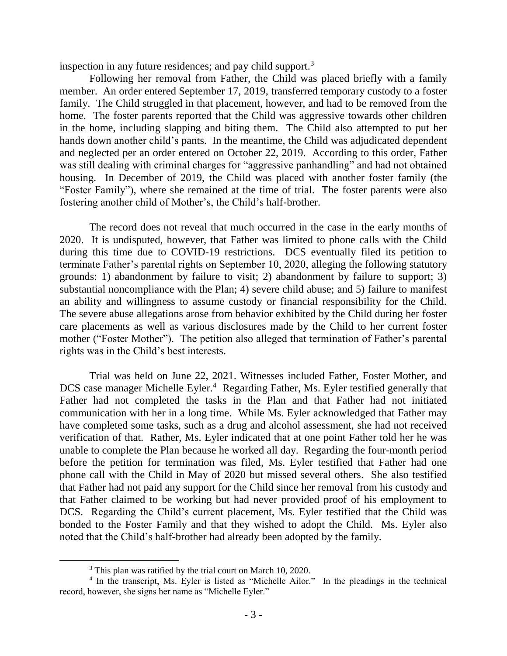inspection in any future residences; and pay child support.<sup>3</sup>

Following her removal from Father, the Child was placed briefly with a family member. An order entered September 17, 2019, transferred temporary custody to a foster family. The Child struggled in that placement, however, and had to be removed from the home. The foster parents reported that the Child was aggressive towards other children in the home, including slapping and biting them. The Child also attempted to put her hands down another child's pants. In the meantime, the Child was adjudicated dependent and neglected per an order entered on October 22, 2019. According to this order, Father was still dealing with criminal charges for "aggressive panhandling" and had not obtained housing. In December of 2019, the Child was placed with another foster family (the "Foster Family"), where she remained at the time of trial. The foster parents were also fostering another child of Mother's, the Child's half-brother.

The record does not reveal that much occurred in the case in the early months of 2020. It is undisputed, however, that Father was limited to phone calls with the Child during this time due to COVID-19 restrictions. DCS eventually filed its petition to terminate Father's parental rights on September 10, 2020, alleging the following statutory grounds: 1) abandonment by failure to visit; 2) abandonment by failure to support; 3) substantial noncompliance with the Plan; 4) severe child abuse; and 5) failure to manifest an ability and willingness to assume custody or financial responsibility for the Child. The severe abuse allegations arose from behavior exhibited by the Child during her foster care placements as well as various disclosures made by the Child to her current foster mother ("Foster Mother"). The petition also alleged that termination of Father's parental rights was in the Child's best interests.

Trial was held on June 22, 2021. Witnesses included Father, Foster Mother, and DCS case manager Michelle Eyler.<sup>4</sup> Regarding Father, Ms. Eyler testified generally that Father had not completed the tasks in the Plan and that Father had not initiated communication with her in a long time. While Ms. Eyler acknowledged that Father may have completed some tasks, such as a drug and alcohol assessment, she had not received verification of that. Rather, Ms. Eyler indicated that at one point Father told her he was unable to complete the Plan because he worked all day. Regarding the four-month period before the petition for termination was filed, Ms. Eyler testified that Father had one phone call with the Child in May of 2020 but missed several others. She also testified that Father had not paid any support for the Child since her removal from his custody and that Father claimed to be working but had never provided proof of his employment to DCS. Regarding the Child's current placement, Ms. Eyler testified that the Child was bonded to the Foster Family and that they wished to adopt the Child. Ms. Eyler also noted that the Child's half-brother had already been adopted by the family.

 $\overline{a}$ 

<sup>&</sup>lt;sup>3</sup> This plan was ratified by the trial court on March 10, 2020.

<sup>&</sup>lt;sup>4</sup> In the transcript, Ms. Eyler is listed as "Michelle Ailor." In the pleadings in the technical record, however, she signs her name as "Michelle Eyler."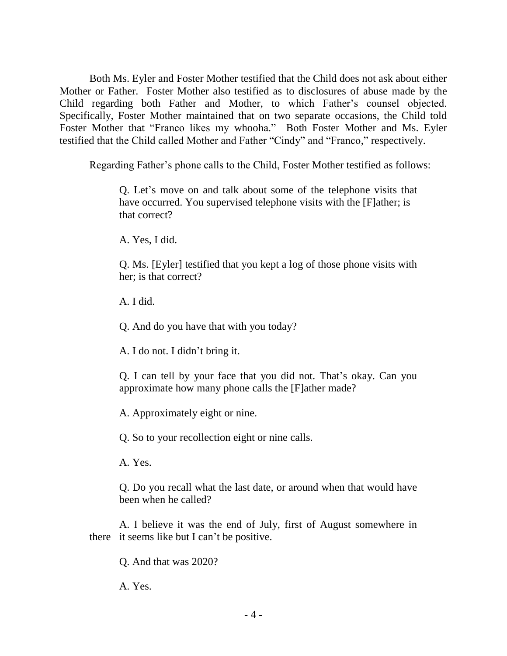Both Ms. Eyler and Foster Mother testified that the Child does not ask about either Mother or Father. Foster Mother also testified as to disclosures of abuse made by the Child regarding both Father and Mother, to which Father's counsel objected. Specifically, Foster Mother maintained that on two separate occasions, the Child told Foster Mother that "Franco likes my whooha." Both Foster Mother and Ms. Eyler testified that the Child called Mother and Father "Cindy" and "Franco," respectively.

Regarding Father's phone calls to the Child, Foster Mother testified as follows:

Q. Let's move on and talk about some of the telephone visits that have occurred. You supervised telephone visits with the [F]ather; is that correct?

A. Yes, I did.

Q. Ms. [Eyler] testified that you kept a log of those phone visits with her; is that correct?

A. I did.

Q. And do you have that with you today?

A. I do not. I didn't bring it.

Q. I can tell by your face that you did not. That's okay. Can you approximate how many phone calls the [F]ather made?

A. Approximately eight or nine.

Q. So to your recollection eight or nine calls.

A. Yes.

Q. Do you recall what the last date, or around when that would have been when he called?

A. I believe it was the end of July, first of August somewhere in there it seems like but I can't be positive.

Q. And that was 2020?

A. Yes.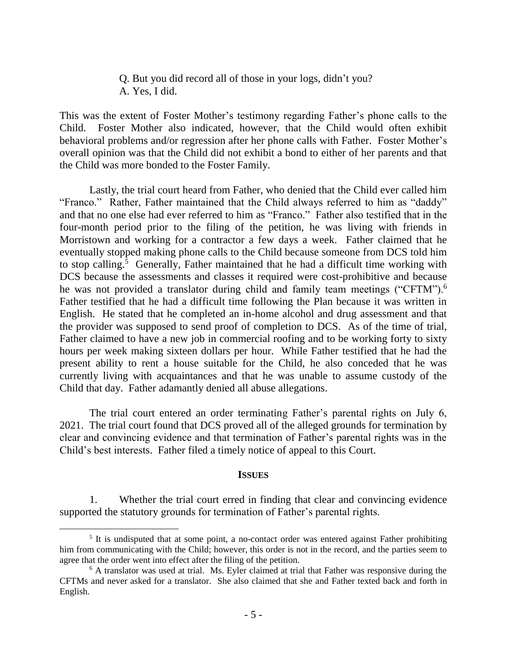Q. But you did record all of those in your logs, didn't you? A. Yes, I did.

This was the extent of Foster Mother's testimony regarding Father's phone calls to the Child. Foster Mother also indicated, however, that the Child would often exhibit behavioral problems and/or regression after her phone calls with Father. Foster Mother's overall opinion was that the Child did not exhibit a bond to either of her parents and that the Child was more bonded to the Foster Family.

Lastly, the trial court heard from Father, who denied that the Child ever called him "Franco." Rather, Father maintained that the Child always referred to him as "daddy" and that no one else had ever referred to him as "Franco." Father also testified that in the four-month period prior to the filing of the petition, he was living with friends in Morristown and working for a contractor a few days a week. Father claimed that he eventually stopped making phone calls to the Child because someone from DCS told him to stop calling.<sup>5</sup> Generally, Father maintained that he had a difficult time working with DCS because the assessments and classes it required were cost-prohibitive and because he was not provided a translator during child and family team meetings ("CFTM").<sup>6</sup> Father testified that he had a difficult time following the Plan because it was written in English. He stated that he completed an in-home alcohol and drug assessment and that the provider was supposed to send proof of completion to DCS. As of the time of trial, Father claimed to have a new job in commercial roofing and to be working forty to sixty hours per week making sixteen dollars per hour. While Father testified that he had the present ability to rent a house suitable for the Child, he also conceded that he was currently living with acquaintances and that he was unable to assume custody of the Child that day. Father adamantly denied all abuse allegations.

The trial court entered an order terminating Father's parental rights on July 6, 2021. The trial court found that DCS proved all of the alleged grounds for termination by clear and convincing evidence and that termination of Father's parental rights was in the Child's best interests. Father filed a timely notice of appeal to this Court.

#### **ISSUES**

1. Whether the trial court erred in finding that clear and convincing evidence supported the statutory grounds for termination of Father's parental rights.

 $\overline{a}$ 

<sup>&</sup>lt;sup>5</sup> It is undisputed that at some point, a no-contact order was entered against Father prohibiting him from communicating with the Child; however, this order is not in the record, and the parties seem to agree that the order went into effect after the filing of the petition.

<sup>&</sup>lt;sup>6</sup> A translator was used at trial. Ms. Eyler claimed at trial that Father was responsive during the CFTMs and never asked for a translator. She also claimed that she and Father texted back and forth in English.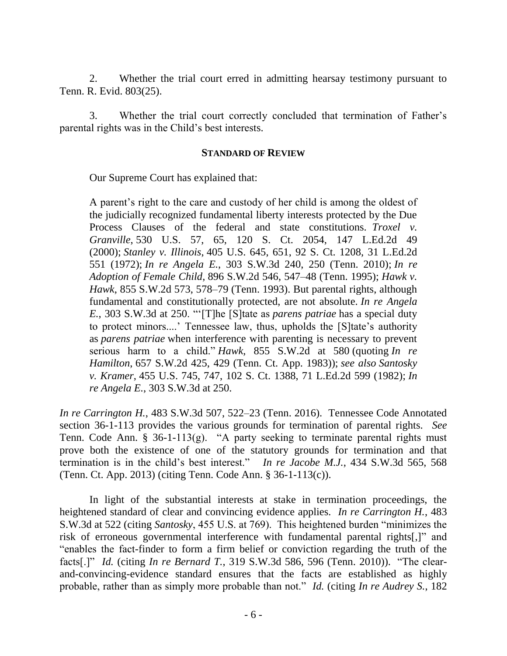2. Whether the trial court erred in admitting hearsay testimony pursuant to Tenn. R. Evid. 803(25).

3. Whether the trial court correctly concluded that termination of Father's parental rights was in the Child's best interests.

### **STANDARD OF REVIEW**

Our Supreme Court has explained that:

A parent's right to the care and custody of her child is among the oldest of the judicially recognized fundamental liberty interests protected by the Due Process Clauses of the federal and state constitutions. *Troxel v. Granville*, 530 U.S. 57, 65, 120 S. Ct. 2054, 147 L.Ed.2d 49 (2000); *Stanley v. Illinois*, 405 U.S. 645, 651, 92 S. Ct. 1208, 31 L.Ed.2d 551 (1972); *In re Angela E.*, 303 S.W.3d 240, 250 (Tenn. 2010); *In re Adoption of Female Child*, 896 S.W.2d 546, 547–48 (Tenn. 1995); *Hawk v. Hawk*, 855 S.W.2d 573, 578–79 (Tenn. 1993). But parental rights, although fundamental and constitutionally protected, are not absolute. *In re Angela E.*, 303 S.W.3d at 250. "'[T]he [S]tate as *parens patriae* has a special duty to protect minors....' Tennessee law, thus, upholds the [S]tate's authority as *parens patriae* when interference with parenting is necessary to prevent serious harm to a child." *Hawk*, 855 S.W.2d at 580 (quoting *In re Hamilton*, 657 S.W.2d 425, 429 (Tenn. Ct. App. 1983)); *see also Santosky v. Kramer*, 455 U.S. 745, 747, 102 S. Ct. 1388, 71 L.Ed.2d 599 (1982); *In re Angela E.*, 303 S.W.3d at 250.

*In re Carrington H.*, 483 S.W.3d 507, 522–23 (Tenn. 2016). Tennessee Code Annotated section 36-1-113 provides the various grounds for termination of parental rights. *See* Tenn. Code Ann. § 36-1-113(g). "A party seeking to terminate parental rights must prove both the existence of one of the statutory grounds for termination and that termination is in the child's best interest." *In re Jacobe M.J.*, 434 S.W.3d 565, 568 (Tenn. Ct. App. 2013) (citing Tenn. Code Ann. § 36-1-113(c)).

In light of the substantial interests at stake in termination proceedings, the heightened standard of clear and convincing evidence applies*. In re Carrington H.*, 483 S.W.3d at 522 (citing *Santosky*, 455 U.S. at 769). This heightened burden "minimizes the risk of erroneous governmental interference with fundamental parental rights[,]" and "enables the fact-finder to form a firm belief or conviction regarding the truth of the facts[.]" *Id.* (citing *In re Bernard T.*, 319 S.W.3d 586, 596 (Tenn. 2010)). "The clearand-convincing-evidence standard ensures that the facts are established as highly probable, rather than as simply more probable than not." *Id.* (citing *In re Audrey S.*, 182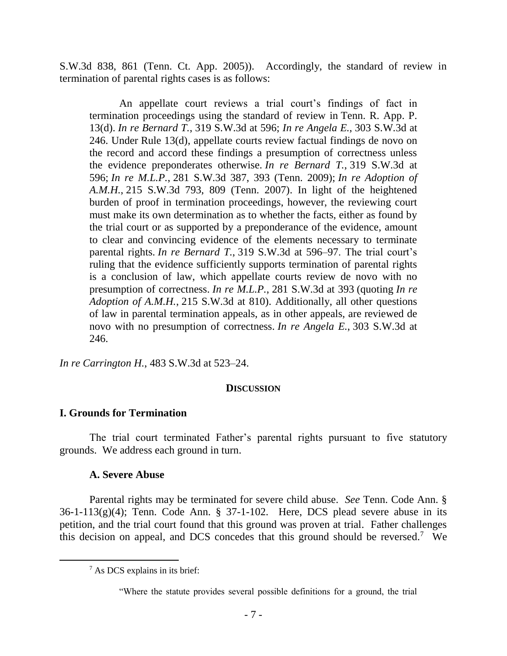S.W.3d 838, 861 (Tenn. Ct. App. 2005)). Accordingly, the standard of review in termination of parental rights cases is as follows:

An appellate court reviews a trial court's findings of fact in termination proceedings using the standard of review in Tenn. R. App. P. 13(d). *In re Bernard T.*, 319 S.W.3d at 596; *In re Angela E.*, 303 S.W.3d at 246. Under Rule 13(d), appellate courts review factual findings de novo on the record and accord these findings a presumption of correctness unless the evidence preponderates otherwise. *In re Bernard T.*, 319 S.W.3d at 596; *In re M.L.P.*, 281 S.W.3d 387, 393 (Tenn. 2009); *In re Adoption of A.M.H.*, 215 S.W.3d 793, 809 (Tenn. 2007). In light of the heightened burden of proof in termination proceedings, however, the reviewing court must make its own determination as to whether the facts, either as found by the trial court or as supported by a preponderance of the evidence, amount to clear and convincing evidence of the elements necessary to terminate parental rights. *In re Bernard T.*, 319 S.W.3d at 596–97. The trial court's ruling that the evidence sufficiently supports termination of parental rights is a conclusion of law, which appellate courts review de novo with no presumption of correctness. *In re M.L.P.*, 281 S.W.3d at 393 (quoting *In re Adoption of A.M.H.*, 215 S.W.3d at 810). Additionally, all other questions of law in parental termination appeals, as in other appeals, are reviewed de novo with no presumption of correctness. *In re Angela E.*, 303 S.W.3d at 246.

*In re Carrington H.*, 483 S.W.3d at 523–24.

#### **DISCUSSION**

### **I. Grounds for Termination**

The trial court terminated Father's parental rights pursuant to five statutory grounds. We address each ground in turn.

### **A. Severe Abuse**

 $\overline{a}$ 

Parental rights may be terminated for severe child abuse. *See* Tenn. Code Ann. § 36-1-113(g)(4); Tenn. Code Ann. § 37-1-102. Here, DCS plead severe abuse in its petition, and the trial court found that this ground was proven at trial. Father challenges this decision on appeal, and DCS concedes that this ground should be reversed. 7 We

<sup>7</sup> As DCS explains in its brief:

<sup>&</sup>quot;Where the statute provides several possible definitions for a ground, the trial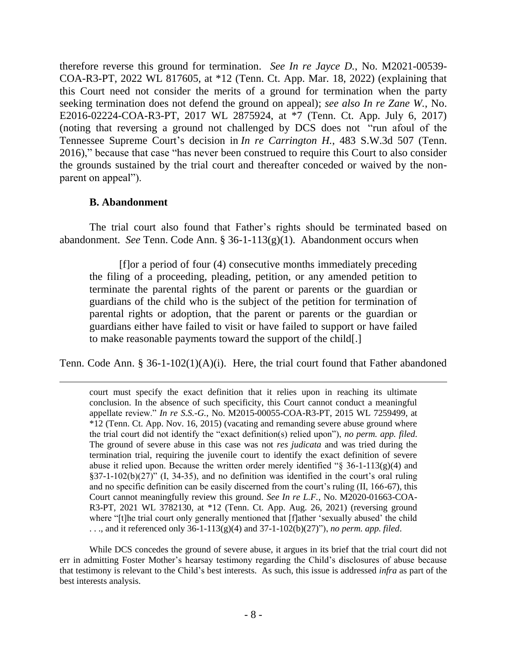therefore reverse this ground for termination. *See In re Jayce D.*, No. M2021-00539- COA-R3-PT, 2022 WL 817605, at \*12 (Tenn. Ct. App. Mar. 18, 2022) (explaining that this Court need not consider the merits of a ground for termination when the party seeking termination does not defend the ground on appeal); *see also In re Zane W.*, No. E2016-02224-COA-R3-PT, 2017 WL 2875924, at \*7 (Tenn. Ct. App. July 6, 2017) (noting that reversing a ground not challenged by DCS does not "run afoul of the Tennessee Supreme Court's decision in *In re Carrington H.*, 483 S.W.3d 507 (Tenn. 2016)," because that case "has never been construed to require this Court to also consider the grounds sustained by the trial court and thereafter conceded or waived by the nonparent on appeal").

## **B. Abandonment**

The trial court also found that Father's rights should be terminated based on abandonment. *See* Tenn. Code Ann. § 36-1-113(g)(1). Abandonment occurs when

[f]or a period of four (4) consecutive months immediately preceding the filing of a proceeding, pleading, petition, or any amended petition to terminate the parental rights of the parent or parents or the guardian or guardians of the child who is the subject of the petition for termination of parental rights or adoption, that the parent or parents or the guardian or guardians either have failed to visit or have failed to support or have failed to make reasonable payments toward the support of the child[.]

Tenn. Code Ann. § 36-1-102(1)(A)(i). Here, the trial court found that Father abandoned

court must specify the exact definition that it relies upon in reaching its ultimate conclusion. In the absence of such specificity, this Court cannot conduct a meaningful appellate review." *In re S.S.-G.*, No. M2015-00055-COA-R3-PT, 2015 WL 7259499, at \*12 (Tenn. Ct. App. Nov. 16, 2015) (vacating and remanding severe abuse ground where the trial court did not identify the "exact definition(s) relied upon"), *no perm. app. filed*. The ground of severe abuse in this case was not *res judicata* and was tried during the termination trial, requiring the juvenile court to identify the exact definition of severe abuse it relied upon. Because the written order merely identified " $\S$  36-1-113(g)(4) and §37-1-102(b)(27)" (I, 34-35), and no definition was identified in the court's oral ruling and no specific definition can be easily discerned from the court's ruling (II, 166-67), this Court cannot meaningfully review this ground. *See In re L.F.*, No. M2020-01663-COA-R3-PT, 2021 WL 3782130, at \*12 (Tenn. Ct. App. Aug. 26, 2021) (reversing ground where "[t]he trial court only generally mentioned that [f]ather 'sexually abused' the child . . ., and it referenced only 36-1-113(g)(4) and 37-1-102(b)(27)"), *no perm. app. filed*.

While DCS concedes the ground of severe abuse, it argues in its brief that the trial court did not err in admitting Foster Mother's hearsay testimony regarding the Child's disclosures of abuse because that testimony is relevant to the Child's best interests. As such, this issue is addressed *infra* as part of the best interests analysis.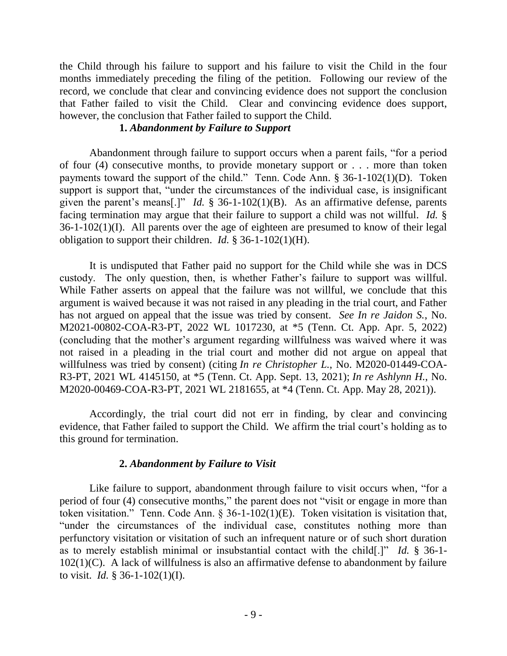the Child through his failure to support and his failure to visit the Child in the four months immediately preceding the filing of the petition. Following our review of the record, we conclude that clear and convincing evidence does not support the conclusion that Father failed to visit the Child. Clear and convincing evidence does support, however, the conclusion that Father failed to support the Child.

## **1.** *Abandonment by Failure to Support*

Abandonment through failure to support occurs when a parent fails, "for a period of four (4) consecutive months, to provide monetary support or . . . more than token payments toward the support of the child." Tenn. Code Ann. § 36-1-102(1)(D). Token support is support that, "under the circumstances of the individual case, is insignificant given the parent's means[.]" *Id.* § 36-1-102(1)(B). As an affirmative defense, parents facing termination may argue that their failure to support a child was not willful. *Id.* § 36-1-102(1)(I). All parents over the age of eighteen are presumed to know of their legal obligation to support their children. *Id.* § 36-1-102(1)(H).

It is undisputed that Father paid no support for the Child while she was in DCS custody. The only question, then, is whether Father's failure to support was willful. While Father asserts on appeal that the failure was not willful, we conclude that this argument is waived because it was not raised in any pleading in the trial court, and Father has not argued on appeal that the issue was tried by consent. *See In re Jaidon S.*, No. M2021-00802-COA-R3-PT, 2022 WL 1017230, at \*5 (Tenn. Ct. App. Apr. 5, 2022) (concluding that the mother's argument regarding willfulness was waived where it was not raised in a pleading in the trial court and mother did not argue on appeal that willfulness was tried by consent) (citing *In re Christopher L.*, No. M2020-01449-COA-R3-PT, 2021 WL 4145150, at \*5 (Tenn. Ct. App. Sept. 13, 2021); *In re Ashlynn H.*, No. M2020-00469-COA-R3-PT, 2021 WL 2181655, at \*4 (Tenn. Ct. App. May 28, 2021)).

Accordingly, the trial court did not err in finding, by clear and convincing evidence, that Father failed to support the Child. We affirm the trial court's holding as to this ground for termination.

### **2.** *Abandonment by Failure to Visit*

Like failure to support, abandonment through failure to visit occurs when, "for a period of four (4) consecutive months," the parent does not "visit or engage in more than token visitation." Tenn. Code Ann. § 36-1-102(1)(E). Token visitation is visitation that, "under the circumstances of the individual case, constitutes nothing more than perfunctory visitation or visitation of such an infrequent nature or of such short duration as to merely establish minimal or insubstantial contact with the child[.]" *Id.* § 36-1-  $102(1)(C)$ . A lack of willfulness is also an affirmative defense to abandonment by failure to visit. *Id.* § 36-1-102(1)(I).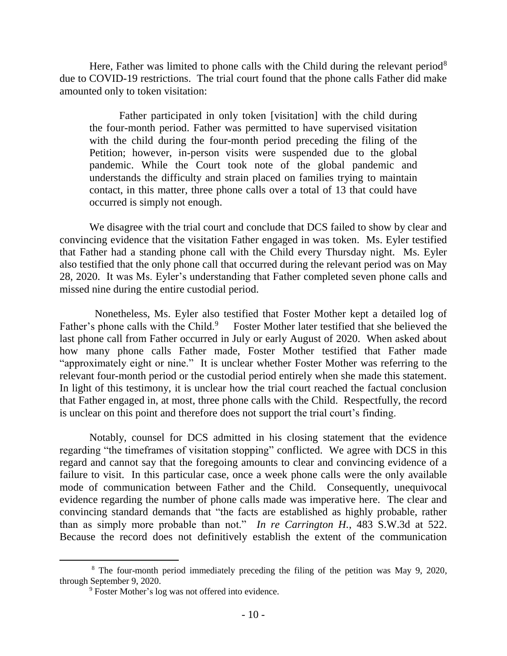Here, Father was limited to phone calls with the Child during the relevant period<sup>8</sup> due to COVID-19 restrictions. The trial court found that the phone calls Father did make amounted only to token visitation:

Father participated in only token [visitation] with the child during the four-month period. Father was permitted to have supervised visitation with the child during the four-month period preceding the filing of the Petition; however, in-person visits were suspended due to the global pandemic. While the Court took note of the global pandemic and understands the difficulty and strain placed on families trying to maintain contact, in this matter, three phone calls over a total of 13 that could have occurred is simply not enough.

We disagree with the trial court and conclude that DCS failed to show by clear and convincing evidence that the visitation Father engaged in was token. Ms. Eyler testified that Father had a standing phone call with the Child every Thursday night. Ms. Eyler also testified that the only phone call that occurred during the relevant period was on May 28, 2020. It was Ms. Eyler's understanding that Father completed seven phone calls and missed nine during the entire custodial period.

 Nonetheless, Ms. Eyler also testified that Foster Mother kept a detailed log of Father's phone calls with the Child.<sup>9</sup> Foster Mother later testified that she believed the last phone call from Father occurred in July or early August of 2020. When asked about how many phone calls Father made, Foster Mother testified that Father made "approximately eight or nine." It is unclear whether Foster Mother was referring to the relevant four-month period or the custodial period entirely when she made this statement. In light of this testimony, it is unclear how the trial court reached the factual conclusion that Father engaged in, at most, three phone calls with the Child. Respectfully, the record is unclear on this point and therefore does not support the trial court's finding.

Notably, counsel for DCS admitted in his closing statement that the evidence regarding "the timeframes of visitation stopping" conflicted. We agree with DCS in this regard and cannot say that the foregoing amounts to clear and convincing evidence of a failure to visit. In this particular case, once a week phone calls were the only available mode of communication between Father and the Child. Consequently, unequivocal evidence regarding the number of phone calls made was imperative here. The clear and convincing standard demands that "the facts are established as highly probable, rather than as simply more probable than not." *In re Carrington H.*, 483 S.W.3d at 522. Because the record does not definitively establish the extent of the communication

 $\overline{a}$ 

<sup>8</sup> The four-month period immediately preceding the filing of the petition was May 9, 2020, through September 9, 2020.

<sup>9</sup> Foster Mother's log was not offered into evidence.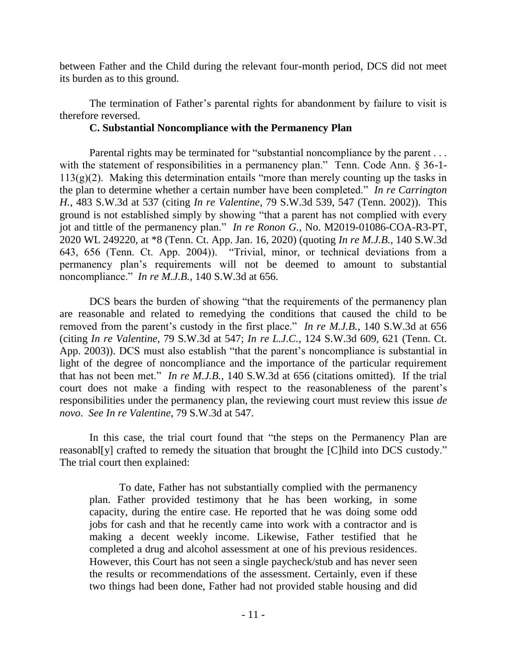between Father and the Child during the relevant four-month period, DCS did not meet its burden as to this ground.

The termination of Father's parental rights for abandonment by failure to visit is therefore reversed.

# **C. Substantial Noncompliance with the Permanency Plan**

Parental rights may be terminated for "substantial noncompliance by the parent . . . with the statement of responsibilities in a permanency plan." Tenn. Code Ann. § 36-1- $113(g)(2)$ . Making this determination entails "more than merely counting up the tasks in the plan to determine whether a certain number have been completed." *In re Carrington H.*, 483 S.W.3d at 537 (citing *In re Valentine*, 79 S.W.3d 539, 547 (Tenn. 2002)). This ground is not established simply by showing "that a parent has not complied with every jot and tittle of the permanency plan." *In re Ronon G.*, No. M2019-01086-COA-R3-PT, 2020 WL 249220, at \*8 (Tenn. Ct. App. Jan. 16, 2020) (quoting *In re M.J.B.*, 140 S.W.3d 643, 656 (Tenn. Ct. App. 2004)). "Trivial, minor, or technical deviations from a permanency plan's requirements will not be deemed to amount to substantial noncompliance." *In re M.J.B.*, 140 S.W.3d at 656.

DCS bears the burden of showing "that the requirements of the permanency plan are reasonable and related to remedying the conditions that caused the child to be removed from the parent's custody in the first place." *In re M.J.B.*, 140 S.W.3d at 656 (citing *In re Valentine*, 79 S.W.3d at 547; *In re L.J.C.*, 124 S.W.3d 609, 621 (Tenn. Ct. App. 2003)). DCS must also establish "that the parent's noncompliance is substantial in light of the degree of noncompliance and the importance of the particular requirement that has not been met." *In re M.J.B.*, 140 S.W.3d at 656 (citations omitted). If the trial court does not make a finding with respect to the reasonableness of the parent's responsibilities under the permanency plan, the reviewing court must review this issue *de novo*. *See In re Valentine*, 79 S.W.3d at 547.

In this case, the trial court found that "the steps on the Permanency Plan are reasonabl[y] crafted to remedy the situation that brought the [C]hild into DCS custody." The trial court then explained:

To date, Father has not substantially complied with the permanency plan. Father provided testimony that he has been working, in some capacity, during the entire case. He reported that he was doing some odd jobs for cash and that he recently came into work with a contractor and is making a decent weekly income. Likewise, Father testified that he completed a drug and alcohol assessment at one of his previous residences. However, this Court has not seen a single paycheck/stub and has never seen the results or recommendations of the assessment. Certainly, even if these two things had been done, Father had not provided stable housing and did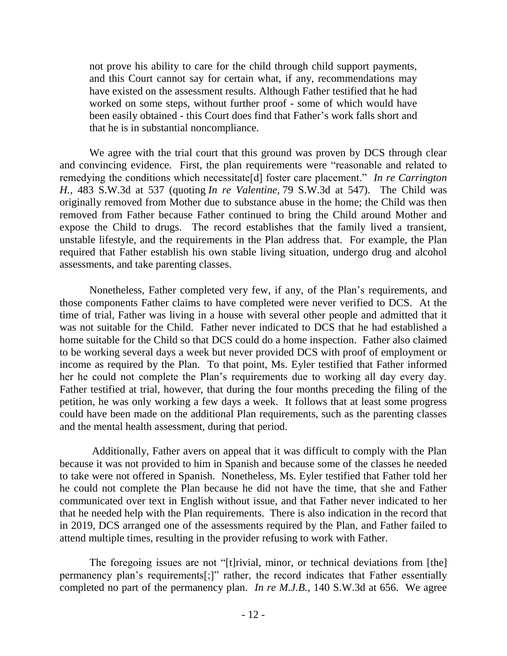not prove his ability to care for the child through child support payments, and this Court cannot say for certain what, if any, recommendations may have existed on the assessment results. Although Father testified that he had worked on some steps, without further proof - some of which would have been easily obtained - this Court does find that Father's work falls short and that he is in substantial noncompliance.

We agree with the trial court that this ground was proven by DCS through clear and convincing evidence. First, the plan requirements were "reasonable and related to remedying the conditions which necessitate[d] foster care placement." *In re Carrington H.*, 483 S.W.3d at 537 (quoting *In re Valentine,* 79 S.W.3d at 547). The Child was originally removed from Mother due to substance abuse in the home; the Child was then removed from Father because Father continued to bring the Child around Mother and expose the Child to drugs. The record establishes that the family lived a transient, unstable lifestyle, and the requirements in the Plan address that. For example, the Plan required that Father establish his own stable living situation, undergo drug and alcohol assessments, and take parenting classes.

Nonetheless, Father completed very few, if any, of the Plan's requirements, and those components Father claims to have completed were never verified to DCS. At the time of trial, Father was living in a house with several other people and admitted that it was not suitable for the Child. Father never indicated to DCS that he had established a home suitable for the Child so that DCS could do a home inspection. Father also claimed to be working several days a week but never provided DCS with proof of employment or income as required by the Plan. To that point, Ms. Eyler testified that Father informed her he could not complete the Plan's requirements due to working all day every day. Father testified at trial, however, that during the four months preceding the filing of the petition, he was only working a few days a week. It follows that at least some progress could have been made on the additional Plan requirements, such as the parenting classes and the mental health assessment, during that period.

Additionally, Father avers on appeal that it was difficult to comply with the Plan because it was not provided to him in Spanish and because some of the classes he needed to take were not offered in Spanish. Nonetheless, Ms. Eyler testified that Father told her he could not complete the Plan because he did not have the time, that she and Father communicated over text in English without issue, and that Father never indicated to her that he needed help with the Plan requirements. There is also indication in the record that in 2019, DCS arranged one of the assessments required by the Plan, and Father failed to attend multiple times, resulting in the provider refusing to work with Father.

The foregoing issues are not "[t]rivial, minor, or technical deviations from [the] permanency plan's requirements[;]" rather, the record indicates that Father essentially completed no part of the permanency plan. *In re M.J.B.*, 140 S.W.3d at 656. We agree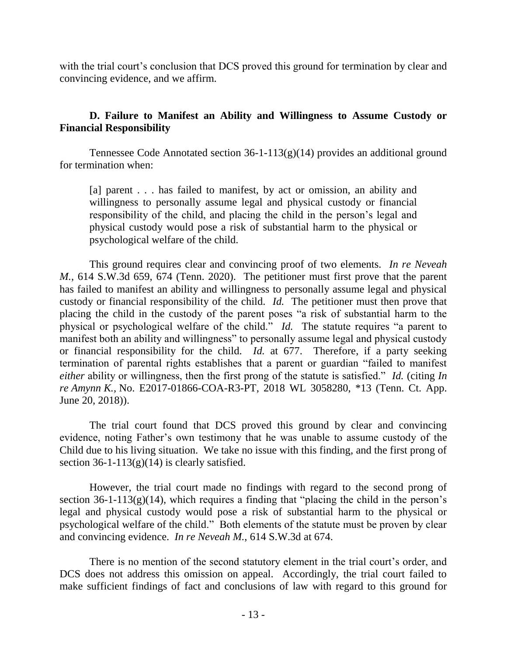with the trial court's conclusion that DCS proved this ground for termination by clear and convincing evidence, and we affirm.

# **D. Failure to Manifest an Ability and Willingness to Assume Custody or Financial Responsibility**

Tennessee Code Annotated section  $36-1-113(g)(14)$  provides an additional ground for termination when:

[a] parent . . . has failed to manifest, by act or omission, an ability and willingness to personally assume legal and physical custody or financial responsibility of the child, and placing the child in the person's legal and physical custody would pose a risk of substantial harm to the physical or psychological welfare of the child.

This ground requires clear and convincing proof of two elements. *In re Neveah M.*, 614 S.W.3d 659, 674 (Tenn. 2020). The petitioner must first prove that the parent has failed to manifest an ability and willingness to personally assume legal and physical custody or financial responsibility of the child. *Id.* The petitioner must then prove that placing the child in the custody of the parent poses "a risk of substantial harm to the physical or psychological welfare of the child." *Id.* The statute requires "a parent to manifest both an ability and willingness" to personally assume legal and physical custody or financial responsibility for the child. *Id.* at 677. Therefore, if a party seeking termination of parental rights establishes that a parent or guardian "failed to manifest *either* ability or willingness, then the first prong of the statute is satisfied." *Id.* (citing *In re Amynn K.*, No. E2017-01866-COA-R3-PT, 2018 WL 3058280, \*13 (Tenn. Ct. App. June 20, 2018)).

The trial court found that DCS proved this ground by clear and convincing evidence, noting Father's own testimony that he was unable to assume custody of the Child due to his living situation. We take no issue with this finding, and the first prong of section  $36-1-113(g)(14)$  is clearly satisfied.

However, the trial court made no findings with regard to the second prong of section  $36-1-113(g)(14)$ , which requires a finding that "placing the child in the person's legal and physical custody would pose a risk of substantial harm to the physical or psychological welfare of the child." Both elements of the statute must be proven by clear and convincing evidence. *In re Neveah M.*, 614 S.W.3d at 674.

There is no mention of the second statutory element in the trial court's order, and DCS does not address this omission on appeal. Accordingly, the trial court failed to make sufficient findings of fact and conclusions of law with regard to this ground for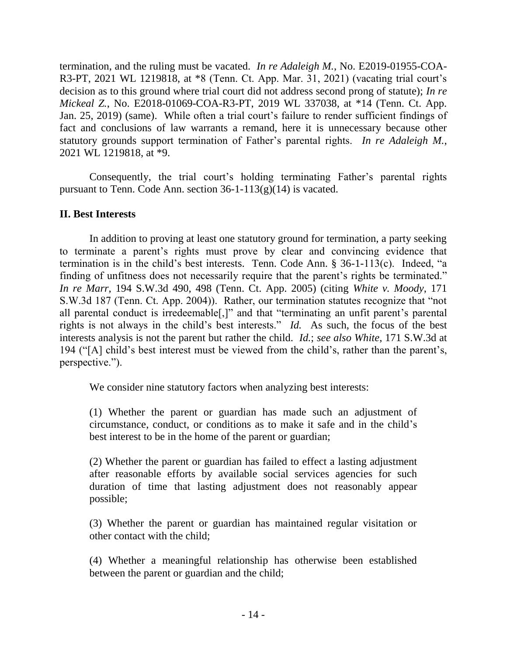termination, and the ruling must be vacated. *In re Adaleigh M.*, No. E2019-01955-COA-R3-PT, 2021 WL 1219818, at \*8 (Tenn. Ct. App. Mar. 31, 2021) (vacating trial court's decision as to this ground where trial court did not address second prong of statute); *In re Mickeal Z.*, No. E2018-01069-COA-R3-PT, 2019 WL 337038, at \*14 (Tenn. Ct. App. Jan. 25, 2019) (same). While often a trial court's failure to render sufficient findings of fact and conclusions of law warrants a remand, here it is unnecessary because other statutory grounds support termination of Father's parental rights. *In re Adaleigh M.*, 2021 WL 1219818, at \*9.

Consequently, the trial court's holding terminating Father's parental rights pursuant to Tenn. Code Ann. section  $36-1-113(g)(14)$  is vacated.

# **II. Best Interests**

In addition to proving at least one statutory ground for termination, a party seeking to terminate a parent's rights must prove by clear and convincing evidence that termination is in the child's best interests. Tenn. Code Ann. § 36-1-113(c). Indeed, "a finding of unfitness does not necessarily require that the parent's rights be terminated." *In re Marr*, 194 S.W.3d 490, 498 (Tenn. Ct. App. 2005) (citing *White v. Moody*, 171 S.W.3d 187 (Tenn. Ct. App. 2004)). Rather, our termination statutes recognize that "not all parental conduct is irredeemable[,]" and that "terminating an unfit parent's parental rights is not always in the child's best interests." *Id.* As such, the focus of the best interests analysis is not the parent but rather the child. *Id.*; *see also White*, 171 S.W.3d at 194 ("[A] child's best interest must be viewed from the child's, rather than the parent's, perspective.").

We consider nine statutory factors when analyzing best interests:

(1) Whether the parent or guardian has made such an adjustment of circumstance, conduct, or conditions as to make it safe and in the child's best interest to be in the home of the parent or guardian;

(2) Whether the parent or guardian has failed to effect a lasting adjustment after reasonable efforts by available social services agencies for such duration of time that lasting adjustment does not reasonably appear possible;

(3) Whether the parent or guardian has maintained regular visitation or other contact with the child;

(4) Whether a meaningful relationship has otherwise been established between the parent or guardian and the child;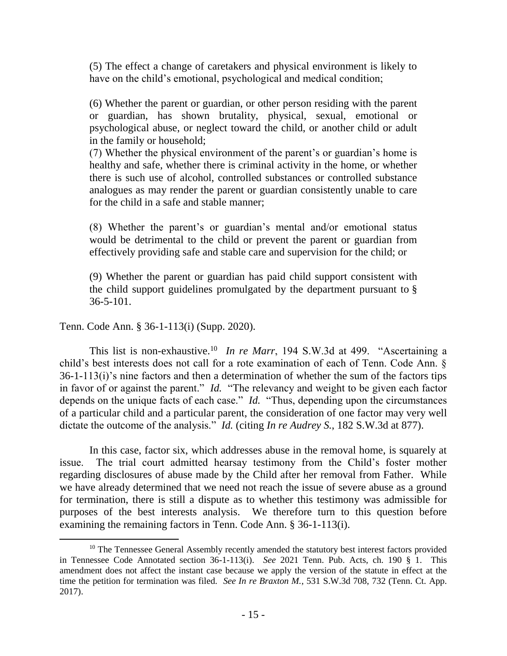(5) The effect a change of caretakers and physical environment is likely to have on the child's emotional, psychological and medical condition;

(6) Whether the parent or guardian, or other person residing with the parent or guardian, has shown brutality, physical, sexual, emotional or psychological abuse, or neglect toward the child, or another child or adult in the family or household;

(7) Whether the physical environment of the parent's or guardian's home is healthy and safe, whether there is criminal activity in the home, or whether there is such use of alcohol, controlled substances or controlled substance analogues as may render the parent or guardian consistently unable to care for the child in a safe and stable manner;

(8) Whether the parent's or guardian's mental and/or emotional status would be detrimental to the child or prevent the parent or guardian from effectively providing safe and stable care and supervision for the child; or

(9) Whether the parent or guardian has paid child support consistent with the child support guidelines promulgated by the department pursuant to [§](https://1.next.westlaw.com/Link/Document/FullText?findType=L&pubNum=1000039&cite=TNSTS36-5-101&originatingDoc=N3891CBD06A4811EABC90E5CC5F19566A&refType=LQ&originationContext=document&transitionType=DocumentItem&contextData=(sc.DocLink)) [36-5-101.](https://1.next.westlaw.com/Link/Document/FullText?findType=L&pubNum=1000039&cite=TNSTS36-5-101&originatingDoc=N3891CBD06A4811EABC90E5CC5F19566A&refType=LQ&originationContext=document&transitionType=DocumentItem&contextData=(sc.DocLink))

Tenn. Code Ann. § 36-1-113(i) (Supp. 2020).

This list is non-exhaustive.<sup>10</sup> In re Marr, 194 S.W.3d at 499. "Ascertaining a child's best interests does not call for a rote examination of each of Tenn. Code Ann. § 36-1-113(i)'s nine factors and then a determination of whether the sum of the factors tips in favor of or against the parent." *Id.* "The relevancy and weight to be given each factor depends on the unique facts of each case." *Id.* "Thus, depending upon the circumstances of a particular child and a particular parent, the consideration of one factor may very well dictate the outcome of the analysis." *Id.* (citing *In re Audrey S.*, 182 S.W.3d at 877).

In this case, factor six, which addresses abuse in the removal home, is squarely at issue. The trial court admitted hearsay testimony from the Child's foster mother regarding disclosures of abuse made by the Child after her removal from Father. While we have already determined that we need not reach the issue of severe abuse as a ground for termination, there is still a dispute as to whether this testimony was admissible for purposes of the best interests analysis. We therefore turn to this question before examining the remaining factors in Tenn. Code Ann. § 36-1-113(i).

<sup>&</sup>lt;sup>10</sup> The Tennessee General Assembly recently amended the statutory best interest factors provided in Tennessee Code Annotated section 36-1-113(i). *See* 2021 Tenn. Pub. Acts, ch. 190 § 1. This amendment does not affect the instant case because we apply the version of the statute in effect at the time the petition for termination was filed. *See In re Braxton M.*, 531 S.W.3d 708, 732 (Tenn. Ct. App. 2017).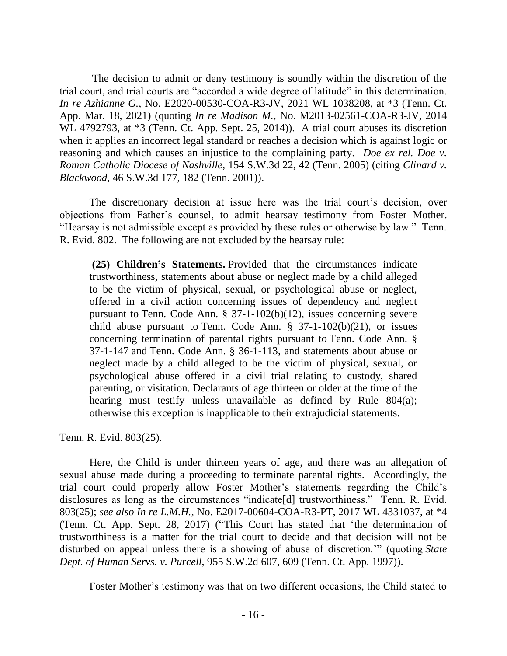The decision to admit or deny testimony is soundly within the discretion of the trial court, and trial courts are "accorded a wide degree of latitude" in this determination. *In re Azhianne G.*, No. E2020-00530-COA-R3-JV, 2021 WL 1038208, at \*3 (Tenn. Ct. App. Mar. 18, 2021) (quoting *In re Madison M.*, No. M2013-02561-COA-R3-JV, 2014 WL 4792793, at \*3 (Tenn. Ct. App. Sept. 25, 2014)). A trial court abuses its discretion when it applies an incorrect legal standard or reaches a decision which is against logic or reasoning and which causes an injustice to the complaining party. *Doe ex rel. Doe v. Roman Catholic Diocese of Nashville*, 154 S.W.3d 22, 42 (Tenn. 2005) (citing *Clinard v. Blackwood*, 46 S.W.3d 177, 182 (Tenn. 2001)).

The discretionary decision at issue here was the trial court's decision, over objections from Father's counsel, to admit hearsay testimony from Foster Mother. "Hearsay is not admissible except as provided by these rules or otherwise by law." Tenn. R. Evid. 802. The following are not excluded by the hearsay rule:

**(25) Children's Statements.** Provided that the circumstances indicate trustworthiness, statements about abuse or neglect made by a child alleged to be the victim of physical, sexual, or psychological abuse or neglect, offered in a civil action concerning issues of dependency and neglect pursuant to Tenn. Code Ann. § 37-1-102(b)(12), issues concerning severe child abuse pursuant to Tenn. Code Ann.  $\S$  37-1-102(b)(21), or issues concerning termination of parental rights pursuant to Tenn. Code Ann. § 37-1-147 and Tenn. Code Ann. § [36-1-113,](https://1.next.westlaw.com/Link/Document/FullText?findType=L&pubNum=1000039&cite=TNSTS36-1-113&originatingDoc=ND8F4EED003A511DCA094A3249C637898&refType=LQ&originationContext=document&transitionType=DocumentItem&ppcid=5bd6ebe8f2a642b0b9582f5395099848&contextData=(sc.Document)) and statements about abuse or neglect made by a child alleged to be the victim of physical, sexual, or psychological abuse offered in a civil trial relating to custody, shared parenting, or visitation. Declarants of age thirteen or older at the time of the hearing must testify unless unavailable as defined by Rule 804(a); otherwise this exception is inapplicable to their extrajudicial statements.

Tenn. R. Evid. 803(25).

Here, the Child is under thirteen years of age, and there was an allegation of sexual abuse made during a proceeding to terminate parental rights. Accordingly, the trial court could properly allow Foster Mother's statements regarding the Child's disclosures as long as the circumstances "indicate[d] trustworthiness." Tenn. R. Evid. 803(25); *see also In re L.M.H.*, No. E2017-00604-COA-R3-PT, 2017 WL 4331037, at \*4 (Tenn. Ct. App. Sept. 28, 2017) ("This Court has stated that 'the determination of trustworthiness is a matter for the trial court to decide and that decision will not be disturbed on appeal unless there is a showing of abuse of discretion.'" (quoting *State Dept. of Human Servs. v. Purcell*, 955 S.W.2d 607, 609 (Tenn. Ct. App. 1997)).

Foster Mother's testimony was that on two different occasions, the Child stated to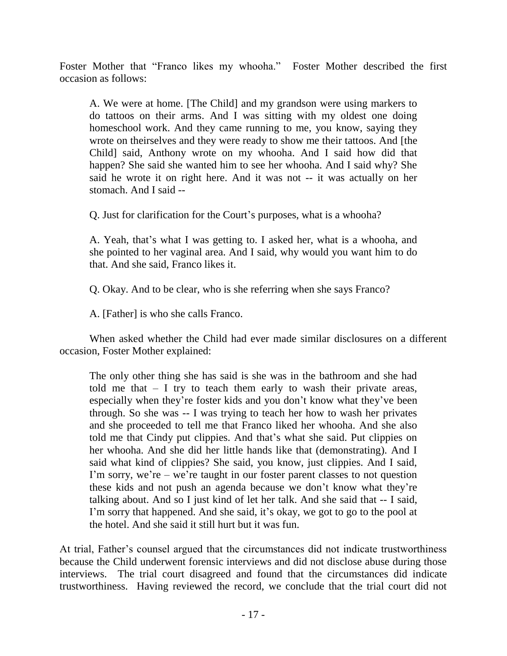Foster Mother that "Franco likes my whooha." Foster Mother described the first occasion as follows:

A. We were at home. [The Child] and my grandson were using markers to do tattoos on their arms. And I was sitting with my oldest one doing homeschool work. And they came running to me, you know, saying they wrote on theirselves and they were ready to show me their tattoos. And [the Child] said, Anthony wrote on my whooha. And I said how did that happen? She said she wanted him to see her whooha. And I said why? She said he wrote it on right here. And it was not -- it was actually on her stomach. And I said --

Q. Just for clarification for the Court's purposes, what is a whooha?

A. Yeah, that's what I was getting to. I asked her, what is a whooha, and she pointed to her vaginal area. And I said, why would you want him to do that. And she said, Franco likes it.

Q. Okay. And to be clear, who is she referring when she says Franco?

A. [Father] is who she calls Franco.

When asked whether the Child had ever made similar disclosures on a different occasion, Foster Mother explained:

The only other thing she has said is she was in the bathroom and she had told me that  $- I$  try to teach them early to wash their private areas, especially when they're foster kids and you don't know what they've been through. So she was -- I was trying to teach her how to wash her privates and she proceeded to tell me that Franco liked her whooha. And she also told me that Cindy put clippies. And that's what she said. Put clippies on her whooha. And she did her little hands like that (demonstrating). And I said what kind of clippies? She said, you know, just clippies. And I said, I'm sorry, we're – we're taught in our foster parent classes to not question these kids and not push an agenda because we don't know what they're talking about. And so I just kind of let her talk. And she said that -- I said, I'm sorry that happened. And she said, it's okay, we got to go to the pool at the hotel. And she said it still hurt but it was fun.

At trial, Father's counsel argued that the circumstances did not indicate trustworthiness because the Child underwent forensic interviews and did not disclose abuse during those interviews. The trial court disagreed and found that the circumstances did indicate trustworthiness. Having reviewed the record, we conclude that the trial court did not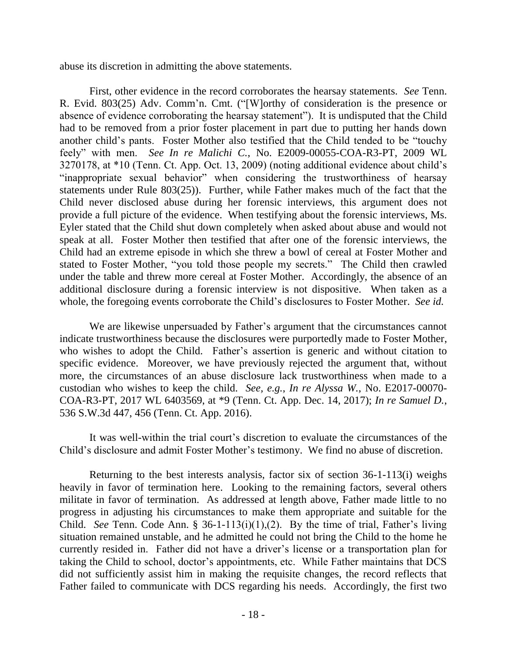abuse its discretion in admitting the above statements.

First, other evidence in the record corroborates the hearsay statements. *See* Tenn. R. Evid. 803(25) Adv. Comm'n. Cmt. ("[W]orthy of consideration is the presence or absence of evidence corroborating the hearsay statement"). It is undisputed that the Child had to be removed from a prior foster placement in part due to putting her hands down another child's pants. Foster Mother also testified that the Child tended to be "touchy feely" with men. *See In re Malichi C.*, No. E2009-00055-COA-R3-PT, 2009 WL 3270178, at \*10 (Tenn. Ct. App. Oct. 13, 2009) (noting additional evidence about child's "inappropriate sexual behavior" when considering the trustworthiness of hearsay statements under Rule 803(25)). Further, while Father makes much of the fact that the Child never disclosed abuse during her forensic interviews, this argument does not provide a full picture of the evidence. When testifying about the forensic interviews, Ms. Eyler stated that the Child shut down completely when asked about abuse and would not speak at all. Foster Mother then testified that after one of the forensic interviews, the Child had an extreme episode in which she threw a bowl of cereal at Foster Mother and stated to Foster Mother, "you told those people my secrets." The Child then crawled under the table and threw more cereal at Foster Mother. Accordingly, the absence of an additional disclosure during a forensic interview is not dispositive. When taken as a whole, the foregoing events corroborate the Child's disclosures to Foster Mother. *See id.* 

We are likewise unpersuaded by Father's argument that the circumstances cannot indicate trustworthiness because the disclosures were purportedly made to Foster Mother, who wishes to adopt the Child. Father's assertion is generic and without citation to specific evidence. Moreover, we have previously rejected the argument that, without more, the circumstances of an abuse disclosure lack trustworthiness when made to a custodian who wishes to keep the child. *See, e.g.*, *In re Alyssa W.*, No. E2017-00070- COA-R3-PT, 2017 WL 6403569, at \*9 (Tenn. Ct. App. Dec. 14, 2017); *In re Samuel D.*, 536 S.W.3d 447, 456 (Tenn. Ct. App. 2016).

It was well-within the trial court's discretion to evaluate the circumstances of the Child's disclosure and admit Foster Mother's testimony. We find no abuse of discretion.

Returning to the best interests analysis, factor six of section 36-1-113(i) weighs heavily in favor of termination here. Looking to the remaining factors, several others militate in favor of termination. As addressed at length above, Father made little to no progress in adjusting his circumstances to make them appropriate and suitable for the Child. *See* Tenn. Code Ann. § 36-1-113(i)(1),(2). By the time of trial, Father's living situation remained unstable, and he admitted he could not bring the Child to the home he currently resided in. Father did not have a driver's license or a transportation plan for taking the Child to school, doctor's appointments, etc. While Father maintains that DCS did not sufficiently assist him in making the requisite changes, the record reflects that Father failed to communicate with DCS regarding his needs. Accordingly, the first two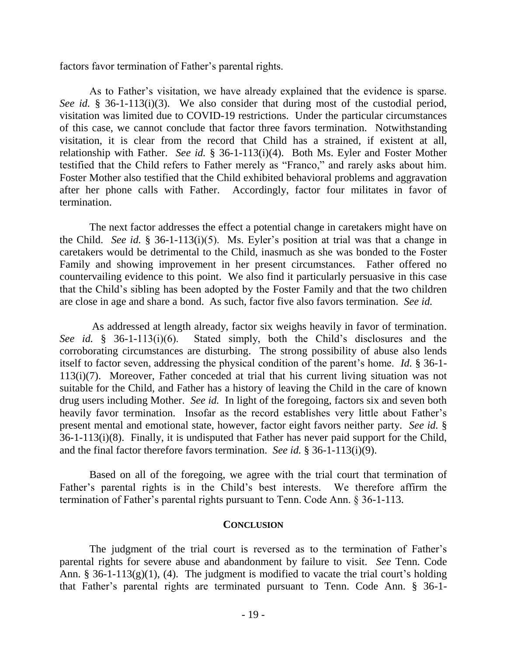factors favor termination of Father's parental rights.

As to Father's visitation, we have already explained that the evidence is sparse. *See id.* § 36-1-113(i)(3). We also consider that during most of the custodial period, visitation was limited due to COVID-19 restrictions. Under the particular circumstances of this case, we cannot conclude that factor three favors termination. Notwithstanding visitation, it is clear from the record that Child has a strained, if existent at all, relationship with Father. *See id.* § 36-1-113(i)(4). Both Ms. Eyler and Foster Mother testified that the Child refers to Father merely as "Franco," and rarely asks about him. Foster Mother also testified that the Child exhibited behavioral problems and aggravation after her phone calls with Father. Accordingly, factor four militates in favor of termination.

The next factor addresses the effect a potential change in caretakers might have on the Child. *See id.* § 36-1-113(i)(5). Ms. Eyler's position at trial was that a change in caretakers would be detrimental to the Child, inasmuch as she was bonded to the Foster Family and showing improvement in her present circumstances. Father offered no countervailing evidence to this point. We also find it particularly persuasive in this case that the Child's sibling has been adopted by the Foster Family and that the two children are close in age and share a bond. As such, factor five also favors termination. *See id.*

As addressed at length already, factor six weighs heavily in favor of termination. *See id.* § 36-1-113(i)(6). Stated simply, both the Child's disclosures and the corroborating circumstances are disturbing. The strong possibility of abuse also lends itself to factor seven, addressing the physical condition of the parent's home. *Id.* § 36-1- 113(i)(7). Moreover, Father conceded at trial that his current living situation was not suitable for the Child, and Father has a history of leaving the Child in the care of known drug users including Mother. *See id.* In light of the foregoing, factors six and seven both heavily favor termination. Insofar as the record establishes very little about Father's present mental and emotional state, however, factor eight favors neither party. *See id.* § 36-1-113(i)(8). Finally, it is undisputed that Father has never paid support for the Child, and the final factor therefore favors termination. *See id.* § 36-1-113(i)(9).

Based on all of the foregoing, we agree with the trial court that termination of Father's parental rights is in the Child's best interests. We therefore affirm the termination of Father's parental rights pursuant to Tenn. Code Ann. § 36-1-113.

#### **CONCLUSION**

The judgment of the trial court is reversed as to the termination of Father's parental rights for severe abuse and abandonment by failure to visit. *See* Tenn. Code Ann. § 36-1-113(g)(1), (4). The judgment is modified to vacate the trial court's holding that Father's parental rights are terminated pursuant to Tenn. Code Ann. § 36-1